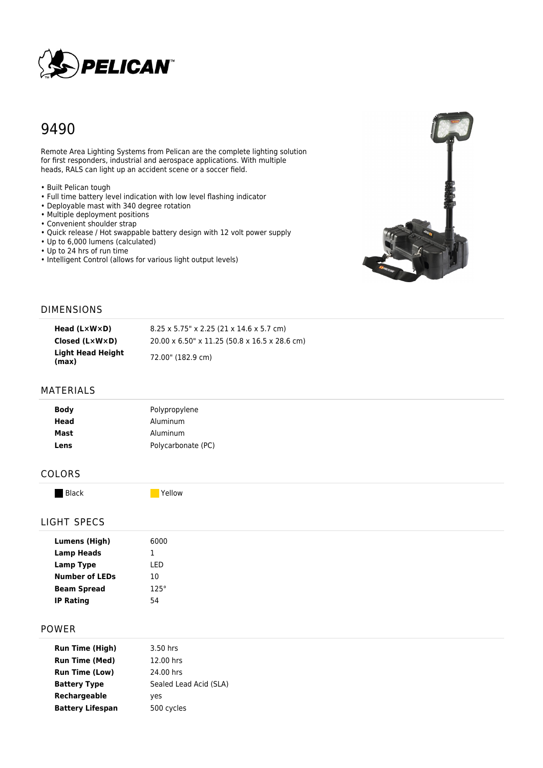

# 9490

Remote Area Lighting Systems from Pelican are the complete lighting solution for first responders, industrial and aerospace applications. With multiple heads, RALS can light up an accident scene or a soccer field.

- Built Pelican tough
- Full time battery level indication with low level flashing indicator
- Deployable mast with 340 degree rotation
- Multiple deployment positions
- Convenient shoulder strap
- Quick release / Hot swappable battery design with 12 volt power supply
- Up to 6,000 lumens (calculated)
- Up to 24 hrs of run time
- Intelligent Control (allows for various light output levels)



#### DIMENSIONS

| Head $(L \times W \times D)$   | $8.25 \times 5.75$ " x 2.25 (21 x 14.6 x 5.7 cm) |
|--------------------------------|--------------------------------------------------|
| $Closed (L \times W \times D)$ | 20.00 x 6.50" x 11.25 (50.8 x 16.5 x 28.6 cm)    |
| Light Head Height<br>(max)     | 72.00" (182.9 cm)                                |

### MATERIALS

| <b>Body</b>  | Polypropylene        |
|--------------|----------------------|
| Head<br>Mast | Aluminum<br>Aluminum |
| Lens         | Polycarbonate (PC)   |

## COLORS

Black and Tellow

#### LIGHT SPECS

#### POWER

| <b>Run Time (High)</b>  | 3.50 hrs               |
|-------------------------|------------------------|
| <b>Run Time (Med)</b>   | 12.00 hrs              |
| <b>Run Time (Low)</b>   | 24.00 hrs              |
| <b>Battery Type</b>     | Sealed Lead Acid (SLA) |
| Rechargeable            | yes                    |
| <b>Battery Lifespan</b> | 500 cycles             |
|                         |                        |